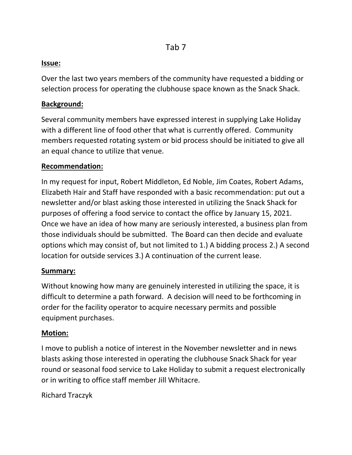#### **Issue:**

Over the last two years members of the community have requested a bidding or selection process for operating the clubhouse space known as the Snack Shack.

#### **Background:**

Several community members have expressed interest in supplying Lake Holiday with a different line of food other that what is currently offered. Community members requested rotating system or bid process should be initiated to give all an equal chance to utilize that venue.

### **Recommendation:**

In my request for input, Robert Middleton, Ed Noble, Jim Coates, Robert Adams, Elizabeth Hair and Staff have responded with a basic recommendation: put out a newsletter and/or blast asking those interested in utilizing the Snack Shack for purposes of offering a food service to contact the office by January 15, 2021. Once we have an idea of how many are seriously interested, a business plan from those individuals should be submitted. The Board can then decide and evaluate options which may consist of, but not limited to 1.) A bidding process 2.) A second location for outside services 3.) A continuation of the current lease.

#### **Summary:**

Without knowing how many are genuinely interested in utilizing the space, it is difficult to determine a path forward. A decision will need to be forthcoming in order for the facility operator to acquire necessary permits and possible equipment purchases.

## **Motion:**

I move to publish a notice of interest in the November newsletter and in news blasts asking those interested in operating the clubhouse Snack Shack for year round or seasonal food service to Lake Holiday to submit a request electronically or in writing to office staff member Jill Whitacre.

Richard Traczyk